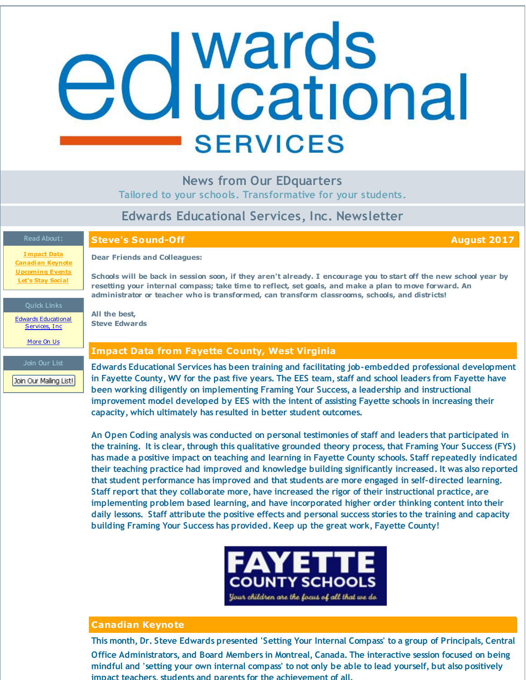# <span id="page-0-0"></span>**d** wards<br>**d** ucational **SERVICES**

**News from Our EDquarters**

**Tailored to your schools. Transformative for your students.**

## **Edwards Educational Services, Inc. Newsletter**

**[Impact](#page-0-0) Data [Canadian](#page-0-0) Keynote [Upcoming](#page-0-0) Events Let's Stay [Social](#page-0-0)**

#### **Quick Links**

Edwards [Educational](http://r20.rs6.net/tn.jsp?f=001P2BF43DPsMdWkK4RUj0GEPSxx3dIZJueaGC5ks-64PkiC_O0Zob68uug5M6v0W2QCUGktKmCPN-YblgQW5cX3zKckOGmcXw-rLV5nktAcodwLb8rIgU6ArqNJIKj9VVH1rdmuuo4IBCkiKaW9v6kc7_E8vkUA0CLqyHGBYTJ1UaYucfaxtC_qA==&c=&ch=) Services, Inc.

# [More](http://r20.rs6.net/tn.jsp?f=001P2BF43DPsMdWkK4RUj0GEPSxx3dIZJueaGC5ks-64PkiC_O0Zob68vA7ddvkY8dDz2hqRkU9Ana1bDyysP6dRLOUa2ATc82RUu8LBm1see80zAZC-V-Z_i2xf4tCcCefGzfe1etSONcFmpm8ErybwhlCyer4B-EZc3vxVeThMum6h54K7VrLmtmIoow_M9HX&c=&ch=) On Us

Join Our Mailing List!

### **Steve's Sound-Off August 2017**

**Dear Friends and Colleagues:**

Schools will be back in session soon, if they aren't already. I encourage you to start off the new school year by resetting your internal compass; take time to reflect, set goals, and make a plan to move forward. An **administrator or teacher who is transformed, can transform classrooms, schools, and districts!**

**All the best, Steve Edwards**

#### **Impact Data from Fayette County, West Virginia**

**impact teachers, students and parents for the achievement of all.**

**Edwards Educational Services has been training and facilitating job-embedded professional development** in Fayette County, WV for the past five years. The EES team, staff and school leaders from Fayette have **been working diligently on implementing Framing Your Success, a leadership and instructional improvement model developed by EES with the intent of assisting Fayette schools in increasing their capacity, which ultimately has resulted in better student outcomes.**

**An Open Coding analysis was conducted on personal testimonies of staff and leaders that participated in the training. It is clear, through this qualitative grounded theory process, that Framing Your Success (FYS) has made a positive impact on teaching and learning in Fayette County schools. Staff repeatedly indicated their teaching practice had improved and knowledge building significantly increased. It was also reported that student performance has improved and that students are more engaged in self-directed learning. Staff report that they collaborate more, have increased the rigor of their instructional practice, are implementing problem based learning, and have incorporated higher order thinking content into their daily lessons. Staff attribute the positive effects and personal success stories to the training and capacity building Framing Your Success has provided. Keep up the great work, Fayette County!**



#### **Canadian Keynote**

**This month, Dr. Steve Edwards presented 'Setting Your Internal Compass' to a group of Principals, Central Office Administrators, and Board Members in Montreal, Canada. The interactive session focused on being** mindful and 'setting your own internal compass' to not only be able to lead yourself, but also positively